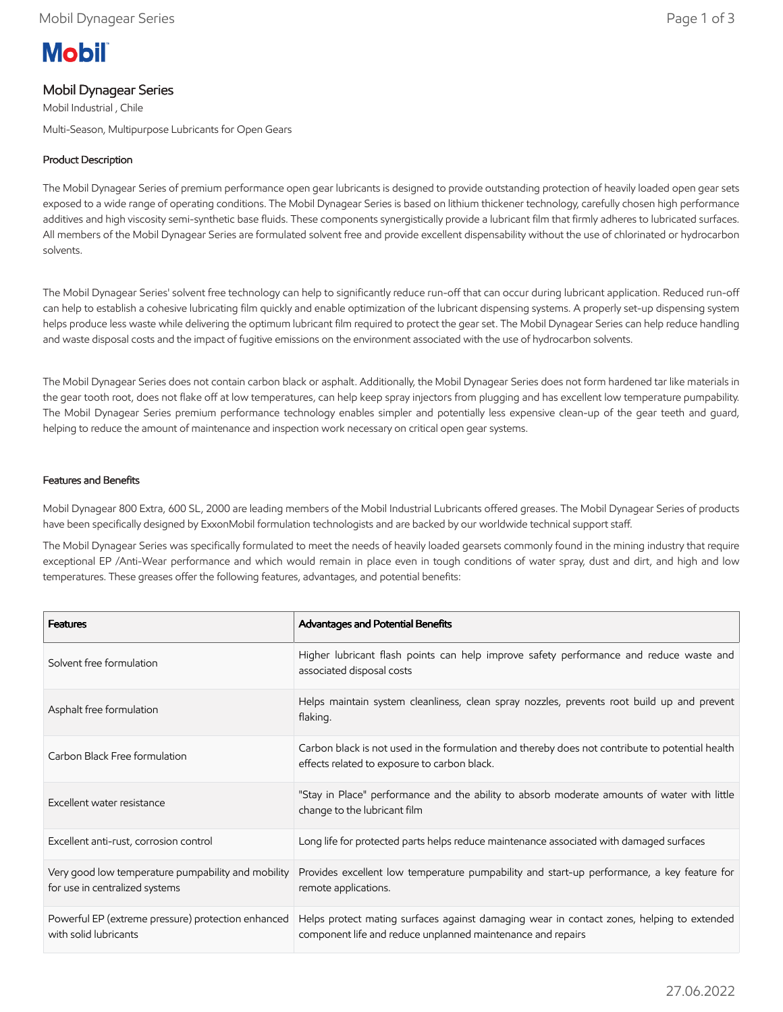# **Mobil**

## Mobil Dynagear Series

Mobil Industrial , Chile

Multi-Season, Multipurpose Lubricants for Open Gears

## Product Description

The Mobil Dynagear Series of premium performance open gear lubricants is designed to provide outstanding protection of heavily loaded open gear sets exposed to a wide range of operating conditions. The Mobil Dynagear Series is based on lithium thickener technology, carefully chosen high performance additives and high viscosity semi-synthetic base fluids. These components synergistically provide a lubricant film that firmly adheres to lubricated surfaces. All members of the Mobil Dynagear Series are formulated solvent free and provide excellent dispensability without the use of chlorinated or hydrocarbon solvents.

The Mobil Dynagear Series' solvent free technology can help to significantly reduce run-off that can occur during lubricant application. Reduced run-off can help to establish a cohesive lubricating film quickly and enable optimization of the lubricant dispensing systems. A properly set-up dispensing system helps produce less waste while delivering the optimum lubricant film required to protect the gear set. The Mobil Dynagear Series can help reduce handling and waste disposal costs and the impact of fugitive emissions on the environment associated with the use of hydrocarbon solvents.

The Mobil Dynagear Series does not contain carbon black or asphalt. Additionally, the Mobil Dynagear Series does not form hardened tar like materials in the gear tooth root, does not flake off at low temperatures, can help keep spray injectors from plugging and has excellent low temperature pumpability. The Mobil Dynagear Series premium performance technology enables simpler and potentially less expensive clean-up of the gear teeth and guard, helping to reduce the amount of maintenance and inspection work necessary on critical open gear systems.

## Features and Benefits

Mobil Dynagear 800 Extra, 600 SL, 2000 are leading members of the Mobil Industrial Lubricants offered greases. The Mobil Dynagear Series of products have been specifically designed by ExxonMobil formulation technologists and are backed by our worldwide technical support staff.

The Mobil Dynagear Series was specifically formulated to meet the needs of heavily loaded gearsets commonly found in the mining industry that require exceptional EP /Anti-Wear performance and which would remain in place even in tough conditions of water spray, dust and dirt, and high and low temperatures. These greases offer the following features, advantages, and potential benefits:

| <b>Features</b>                                                                      | <b>Advantages and Potential Benefits</b>                                                                                                                 |
|--------------------------------------------------------------------------------------|----------------------------------------------------------------------------------------------------------------------------------------------------------|
| Solvent free formulation                                                             | Higher lubricant flash points can help improve safety performance and reduce waste and<br>associated disposal costs                                      |
| Asphalt free formulation                                                             | Helps maintain system cleanliness, clean spray nozzles, prevents root build up and prevent<br>flaking.                                                   |
| Carbon Black Free formulation                                                        | Carbon black is not used in the formulation and thereby does not contribute to potential health<br>effects related to exposure to carbon black.          |
| Excellent water resistance                                                           | "Stay in Place" performance and the ability to absorb moderate amounts of water with little<br>change to the lubricant film                              |
| Excellent anti-rust, corrosion control                                               | Long life for protected parts helps reduce maintenance associated with damaged surfaces                                                                  |
| Very good low temperature pumpability and mobility<br>for use in centralized systems | Provides excellent low temperature pumpability and start-up performance, a key feature for<br>remote applications.                                       |
| Powerful EP (extreme pressure) protection enhanced<br>with solid lubricants          | Helps protect mating surfaces against damaging wear in contact zones, helping to extended<br>component life and reduce unplanned maintenance and repairs |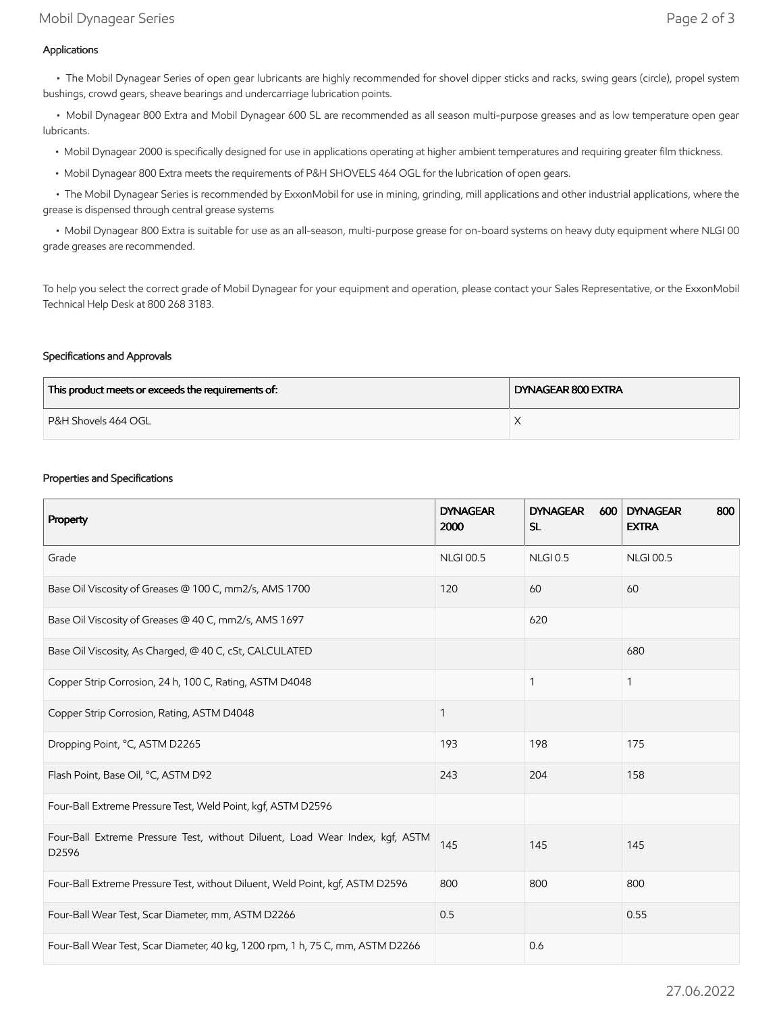## Applications

 • The Mobil Dynagear Series of open gear lubricants are highly recommended for shovel dipper sticks and racks, swing gears (circle), propel system bushings, crowd gears, sheave bearings and undercarriage lubrication points.

 • Mobil Dynagear 800 Extra and Mobil Dynagear 600 SL are recommended as all season multi-purpose greases and as low temperature open gear lubricants.

- Mobil Dynagear 2000 is specifically designed for use in applications operating at higher ambient temperatures and requiring greater film thickness.
- Mobil Dynagear 800 Extra meets the requirements of P&H SHOVELS 464 OGL for the lubrication of open gears.

 • The Mobil Dynagear Series is recommended by ExxonMobil for use in mining, grinding, mill applications and other industrial applications, where the grease is dispensed through central grease systems

 • Mobil Dynagear 800 Extra is suitable for use as an all-season, multi-purpose grease for on-board systems on heavy duty equipment where NLGI 00 grade greases are recommended.

To help you select the correct grade of Mobil Dynagear for your equipment and operation, please contact your Sales Representative, or the ExxonMobil Technical Help Desk at 800 268 3183.

## Specifications and Approvals

| This product meets or exceeds the requirements of: | DYNAGEAR 800 EXTRA |  |
|----------------------------------------------------|--------------------|--|
| P&H Shovels 464 OGL                                |                    |  |

#### Properties and Specifications

| Property                                                                              | <b>DYNAGEAR</b><br>2000 | <b>DYNAGEAR</b><br>600<br><b>SL</b> | <b>DYNAGEAR</b><br>800<br><b>EXTRA</b> |
|---------------------------------------------------------------------------------------|-------------------------|-------------------------------------|----------------------------------------|
| Grade                                                                                 | <b>NLGI 00.5</b>        | <b>NLGI 0.5</b>                     | <b>NLGI 00.5</b>                       |
| Base Oil Viscosity of Greases @ 100 C, mm2/s, AMS 1700                                | 120                     | 60                                  | 60                                     |
| Base Oil Viscosity of Greases @ 40 C, mm2/s, AMS 1697                                 |                         | 620                                 |                                        |
| Base Oil Viscosity, As Charged, @ 40 C, cSt, CALCULATED                               |                         |                                     | 680                                    |
| Copper Strip Corrosion, 24 h, 100 C, Rating, ASTM D4048                               |                         | 1                                   | 1                                      |
| Copper Strip Corrosion, Rating, ASTM D4048                                            | 1                       |                                     |                                        |
| Dropping Point, °C, ASTM D2265                                                        | 193                     | 198                                 | 175                                    |
| Flash Point, Base Oil, °C, ASTM D92                                                   | 243                     | 204                                 | 158                                    |
| Four-Ball Extreme Pressure Test, Weld Point, kgf, ASTM D2596                          |                         |                                     |                                        |
| Four-Ball Extreme Pressure Test, without Diluent, Load Wear Index, kgf, ASTM<br>D2596 | 145                     | 145                                 | 145                                    |
| Four-Ball Extreme Pressure Test, without Diluent, Weld Point, kgf, ASTM D2596         | 800                     | 800                                 | 800                                    |
| Four-Ball Wear Test, Scar Diameter, mm, ASTM D2266                                    | 0.5                     |                                     | 0.55                                   |
| Four-Ball Wear Test, Scar Diameter, 40 kg, 1200 rpm, 1 h, 75 C, mm, ASTM D2266        |                         | 0.6                                 |                                        |